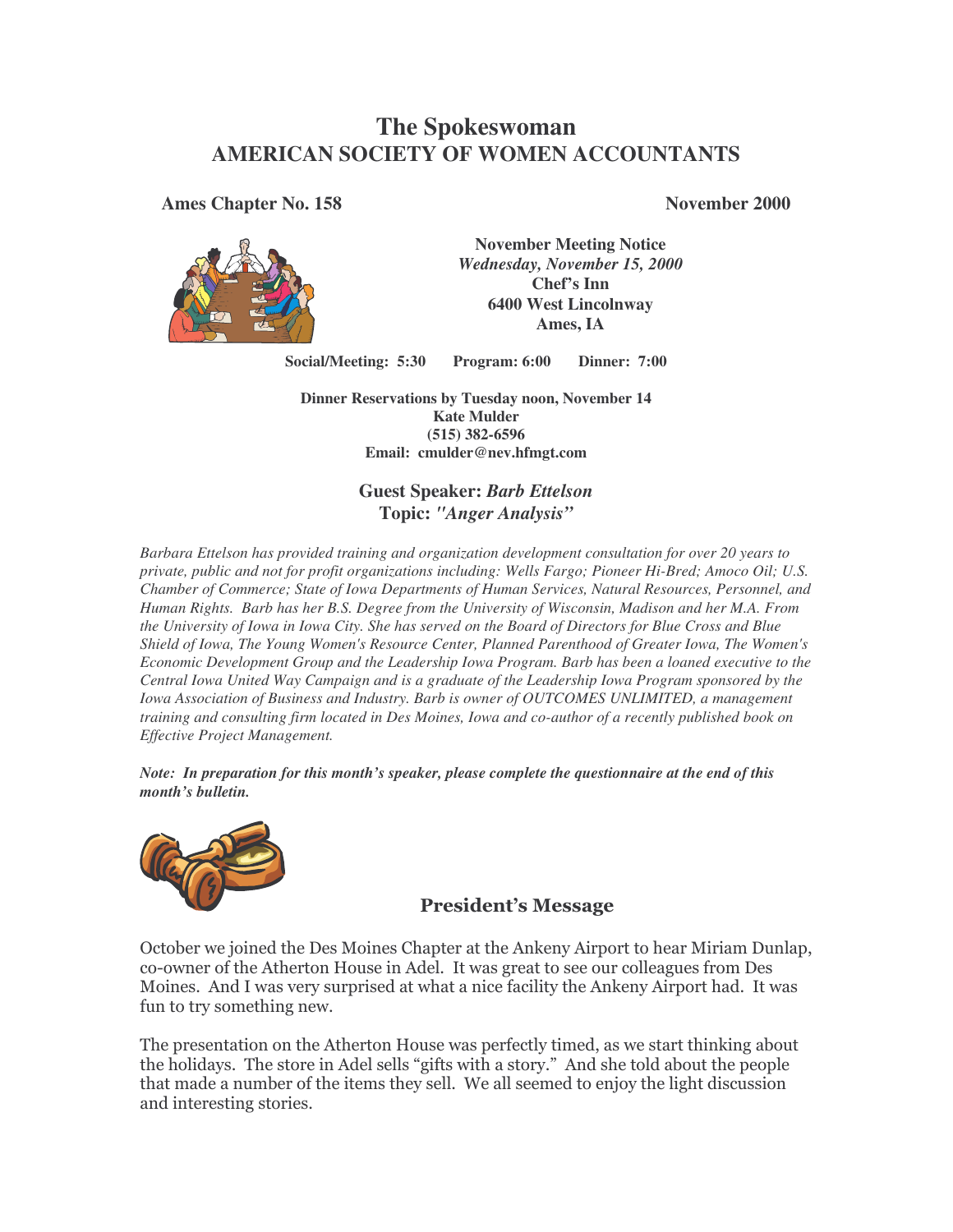# **The Spokeswoman AMERICAN SOCIETY OF WOMEN ACCOUNTANTS**

**Ames Chapter No. 158 November 2000**



**November Meeting Notice** *Wednesday, November 15, 2000* **Chef's Inn 6400 West Lincolnway Ames, IA**

**Social/Meeting: 5:30 Program: 6:00 Dinner: 7:00**

**Dinner Reservations by Tuesday noon, November 14 Kate Mulder (515) 382-6596 Email: cmulder@nev.hfmgt.com**

### **Guest Speaker:** *Barb Ettelson* **Topic:** *"Anger Analysis"*

*Barbara Ettelson has provided training and organization development consultation for over 20 years to private, public and not for profit organizations including: Wells Fargo; Pioneer Hi-Bred; Amoco Oil; U.S. Chamber of Commerce; State of Iowa Departments of Human Services, Natural Resources, Personnel, and Human Rights. Barb has her B.S. Degree from the University of Wisconsin, Madison and her M.A. From* the University of Iowa in Iowa City. She has served on the Board of Directors for Blue Cross and Blue *Shield of Iowa, The Young Women's Resource Center, Planned Parenthood of Greater Iowa, The Women's Economic Development Group and the Leadership Iowa Program. Barb has been a loaned executive to the Central Iowa United Way Campaign and is a graduate of the Leadership Iowa Program sponsored by the Iowa Association of Business and Industry. Barb is owner of OUTCOMES UNLIMITED, a management training and consulting firm located in Des Moines, Iowa and co-author of a recently published book on Effective Project Management.*

*Note: In preparation for this month's speaker, please complete the questionnaire at the end of this month's bulletin.*



### **President's Message**

October we joined the Des Moines Chapter at the Ankeny Airport to hear Miriam Dunlap, co-owner of the Atherton House in Adel. It was great to see our colleagues from Des Moines. And I was very surprised at what a nice facility the Ankeny Airport had. It was fun to try something new.

The presentation on the Atherton House was perfectly timed, as we start thinking about the holidays. The store in Adel sells "gifts with a story." And she told about the people that made a number of the items they sell. We all seemed to enjoy the light discussion and interesting stories.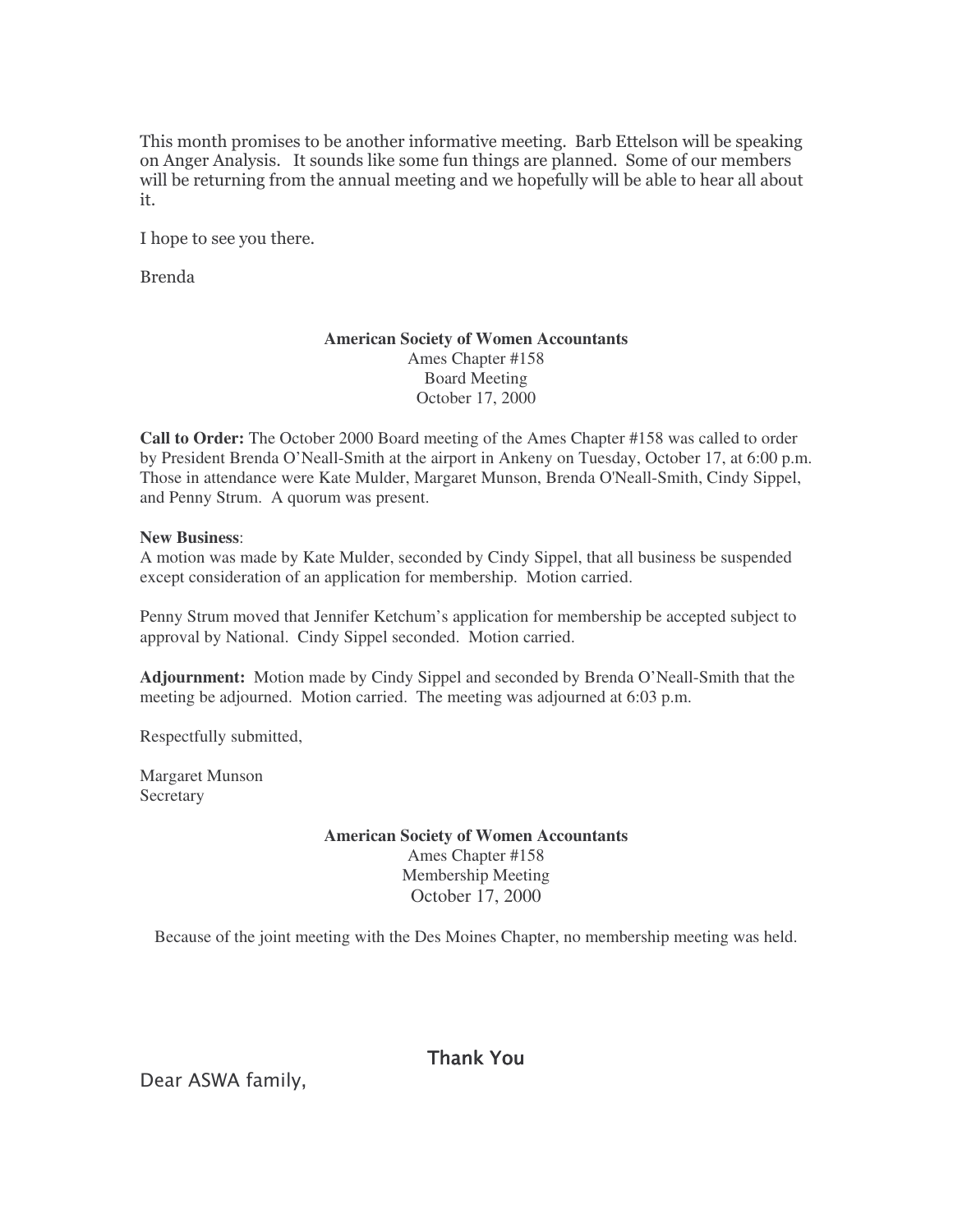This month promises to be another informative meeting. Barb Ettelson will be speaking on Anger Analysis. It sounds like some fun things are planned. Some of our members will be returning from the annual meeting and we hopefully will be able to hear all about it.

I hope to see you there.

**Brenda** 

#### **American Society of Women Accountants** Ames Chapter #158 Board Meeting October 17, 2000

**Call to Order:** The October 2000 Board meeting of the Ames Chapter #158 was called to order by President Brenda O'Neall-Smith at the airport in Ankeny on Tuesday, October 17, at 6:00 p.m. Those in attendance were Kate Mulder, Margaret Munson, Brenda O'Neall-Smith, Cindy Sippel, and Penny Strum. A quorum was present.

#### **New Business**:

A motion was made by Kate Mulder, seconded by Cindy Sippel, that all business be suspended except consideration of an application for membership. Motion carried.

Penny Strum moved that Jennifer Ketchum's application for membership be accepted subject to approval by National. Cindy Sippel seconded. Motion carried.

**Adjournment:** Motion made by Cindy Sippel and seconded by Brenda O'Neall-Smith that the meeting be adjourned. Motion carried. The meeting was adjourned at 6:03 p.m.

Respectfully submitted,

Margaret Munson **Secretary** 

#### **American Society of Women Accountants** Ames Chapter #158 Membership Meeting October 17, 2000

Because of the joint meeting with the Des Moines Chapter, no membership meeting was held.

Thank You

Dear ASWA family,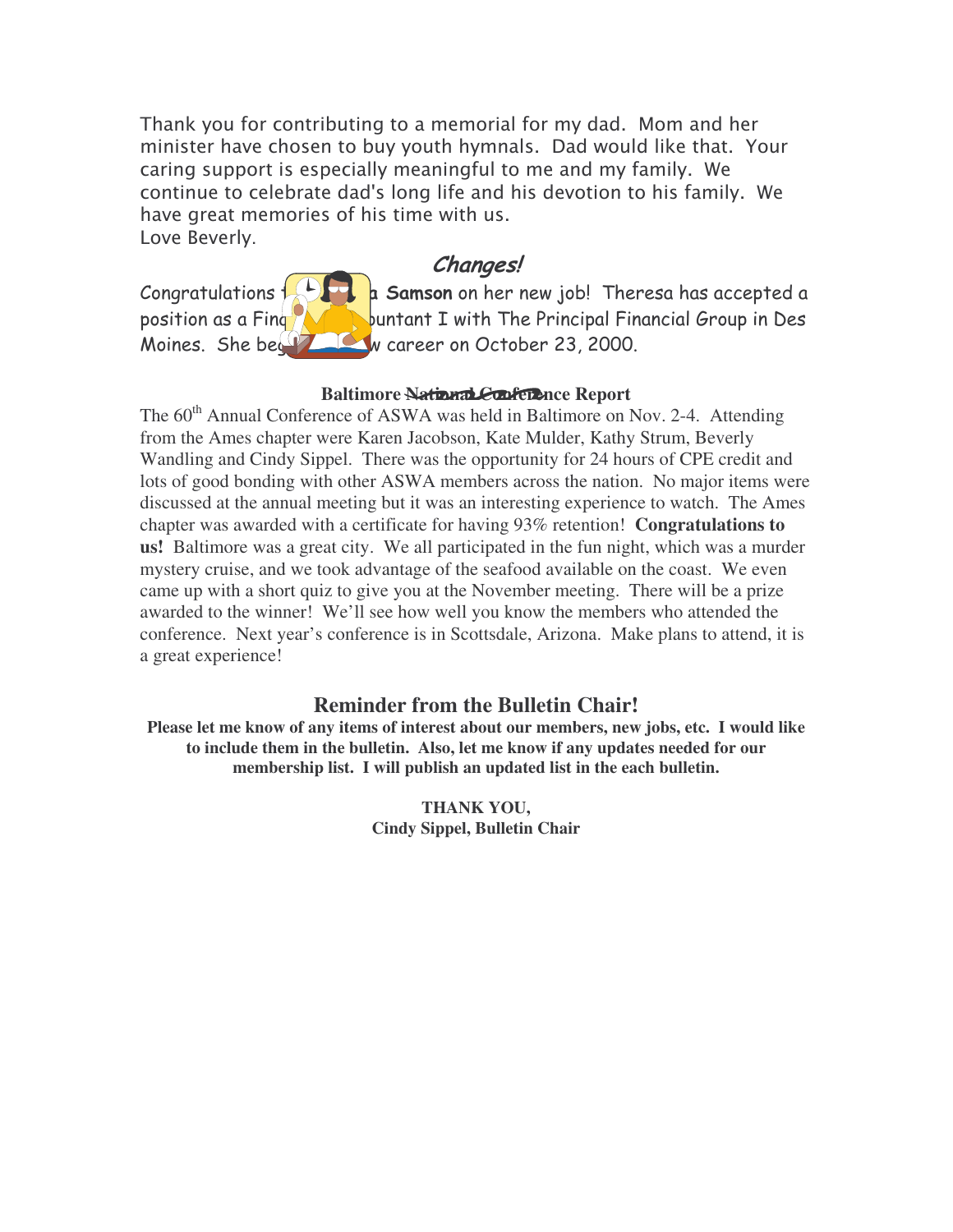Thank you for contributing to a memorial for my dad. Mom and her minister have chosen to buy youth hymnals. Dad would like that. Your caring support is especially meaningful to me and my family. We continue to celebrate dad's long life and his devotion to his family. We have great memories of his time with us. Love Beverly.

# Changes!

Congratulations  $\frac{1}{2}$  $\sim$ **)** position as a Fing $\sqrt{}$ 

  - -  $\sqrt{\phantom{a}}$  buntant I with The Principal Financial Group in Des Moines. She bey  $\mathbb{Z}$  w career on October 23, 2000.

## **Baltimore National Conference Report**

The 60<sup>th</sup> Annual Conference of ASWA was held in Baltimore on Nov. 2-4. Attending from the Ames chapter were Karen Jacobson, Kate Mulder, Kathy Strum, Beverly Wandling and Cindy Sippel. There was the opportunity for 24 hours of CPE credit and lots of good bonding with other ASWA members across the nation. No major items were discussed at the annual meeting but it was an interesting experience to watch. The Ames chapter was awarded with a certificate for having 93% retention! **Congratulations to us!** Baltimore was a great city. We all participated in the fun night, which was a murder mystery cruise, and we took advantage of the seafood available on the coast. We even came up with a short quiz to give you at the November meeting. There will be a prize awarded to the winner! We'll see how well you know the members who attended the conference. Next year's conference is in Scottsdale, Arizona. Make plans to attend, it is a great experience!

## **Reminder from the Bulletin Chair!**

**Please let me know of any items of interest about our members, new jobs, etc. I would like to include them in the bulletin. Also, let me know if any updates needed for our membership list. I will publish an updated list in the each bulletin.**

> **THANK YOU, Cindy Sippel, Bulletin Chair**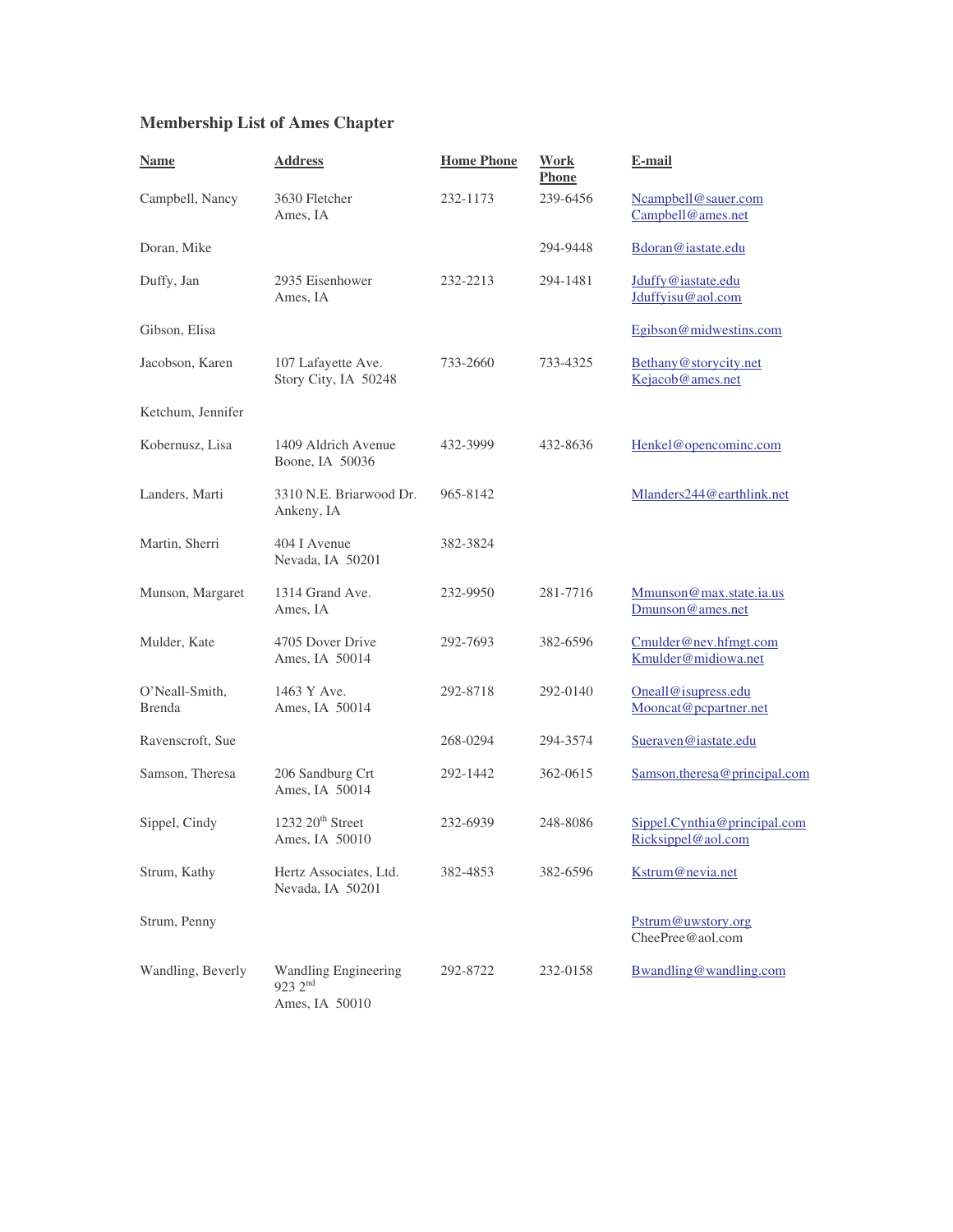## **Membership List of Ames Chapter**

| <b>Name</b>                     | <b>Address</b>                                                   | <b>Home Phone</b> | Work<br><b>Phone</b> | E-mail                                             |
|---------------------------------|------------------------------------------------------------------|-------------------|----------------------|----------------------------------------------------|
| Campbell, Nancy                 | 3630 Fletcher<br>Ames, IA                                        | 232-1173          | 239-6456             | Ncampbell@sauer.com<br>Campbell@ames.net           |
| Doran, Mike                     |                                                                  |                   | 294-9448             | Bdoran@iastate.edu                                 |
| Duffy, Jan                      | 2935 Eisenhower<br>Ames, IA                                      | 232-2213          | 294-1481             | Jduffy@iastate.edu<br>Jduffyisu@aol.com            |
| Gibson, Elisa                   |                                                                  |                   |                      | Egibson@midwestins.com                             |
| Jacobson, Karen                 | 107 Lafayette Ave.<br>Story City, IA 50248                       | 733-2660          | 733-4325             | Bethany@storycity.net<br>Kejacob@ames.net          |
| Ketchum, Jennifer               |                                                                  |                   |                      |                                                    |
| Kobernusz, Lisa                 | 1409 Aldrich Avenue<br>Boone, IA 50036                           | 432-3999          | 432-8636             | Henkel@opencominc.com                              |
| Landers, Marti                  | 3310 N.E. Briarwood Dr.<br>Ankeny, IA                            | 965-8142          |                      | Mlanders244@earthlink.net                          |
| Martin, Sherri                  | 404 I Avenue<br>Nevada, IA 50201                                 | 382-3824          |                      |                                                    |
| Munson, Margaret                | 1314 Grand Ave.<br>Ames, IA                                      | 232-9950          | 281-7716             | Mmunson@max.state.ia.us<br>Dmunson@ames.net        |
| Mulder, Kate                    | 4705 Dover Drive<br>Ames, IA 50014                               | 292-7693          | 382-6596             | Cmulder@nev.hfmgt.com<br>Kmulder@midiowa.net       |
| O'Neall-Smith,<br><b>Brenda</b> | 1463 Y Ave.<br>Ames, IA 50014                                    | 292-8718          | 292-0140             | Oneall@isupress.edu<br>Mooncat@pcpartner.net       |
| Ravenscroft, Sue                |                                                                  | 268-0294          | 294-3574             | Sueraven@iastate.edu                               |
| Samson, Theresa                 | 206 Sandburg Crt<br>Ames, IA 50014                               | 292-1442          | 362-0615             | Samson.theresa@principal.com                       |
| Sippel, Cindy                   | $1232\ 20$ <sup>th</sup> Street<br>Ames, IA 50010                | 232-6939          | 248-8086             | Sippel.Cynthia@principal.com<br>Ricksippel@aol.com |
| Strum, Kathy                    | Hertz Associates, Ltd.<br>Nevada, IA 50201                       | 382-4853          | 382-6596             | Kstrum@nevia.net                                   |
| Strum, Penny                    |                                                                  |                   |                      | Pstrum@uwstory.org<br>CheePree@aol.com             |
| Wandling, Beverly               | <b>Wandling Engineering</b><br>$923 \; 2^{nd}$<br>Ames, IA 50010 | 292-8722          | 232-0158             | Bwandling@wandling.com                             |